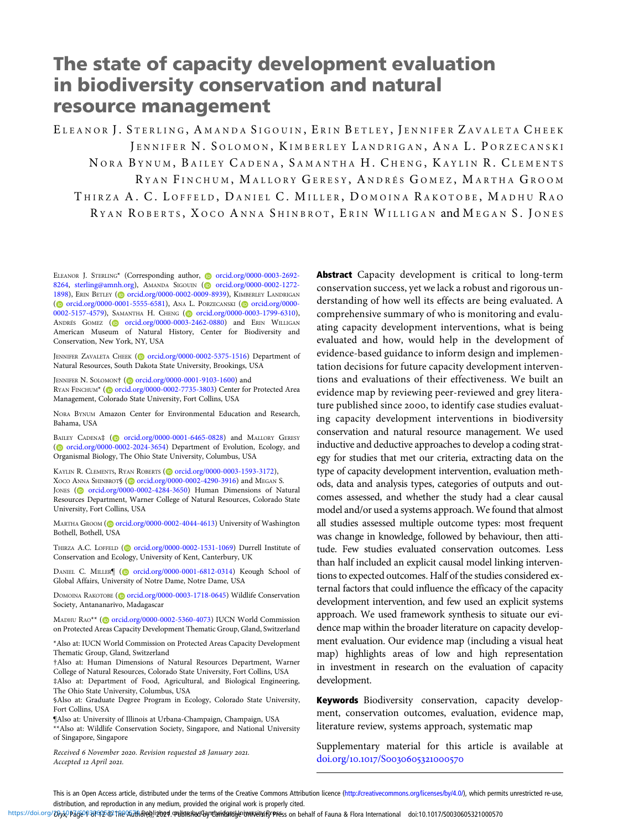# The state of capacity development evaluation in biodiversity conservation and natural resource management

ELEANOR J. STERLING, AMANDA SIGOUIN, ERIN BETLEY, JENNIFER ZAVALETA CHEEK JENNIFER N. SOLOMON, KIMBERLEY LANDRIGAN, ANA L. PORZECANSKI NORA BYNUM, BAILEY CADENA, SAMANTHA H. CHENG, KAYLIN R. CLEMENTS R YAN F INCHUM , M ALLORY G ERESY , A NDRÉS G OMEZ , M ARTHA G ROOM THIRZA A. C. LOFFELD, DANIEL C. MILLER, DOMOINA RAKOTOBE, MADHU RAO R YAN R OBERTS , X OCO A NNA S HINBROT , E RIN W ILLIGAN and M EGAN S. J ONES

ELEANOR J. STERLING\* (Corresponding author, [orcid.org/0000-0003-2692-](https://orcid.org/0000-0003-2692-8264) [8264](https://orcid.org/0000-0003-2692-8264), [sterling@amnh.org](mailto:sterling@amnh.org)), AMANDA SIGOUIN [\(](https://orcid.org)@ [orcid.org/0000-0002-1272-](https://orcid.org/0000-0002-1272-1898) [1898](https://orcid.org/0000-0002-1272-1898)), ERIN BETLEY [\(](https://orcid.org)@ [orcid.org/0000-0002-0009-8939\)](https://orcid.org/0000-0002-0009-8939), KIMBERLEY LANDRIGAN ( $\odot$  [orcid.org/0000-0001-5555-6581](https://orcid.org/0000-0001-5555-6581)), ANA L. PORZECANSKI ( $\odot$  [orcid.org/0000-](https://orcid.org/0000-0002-5157-4579) [0002-5157-4579](https://orcid.org/0000-0002-5157-4579)), SAMANTHA H. CHENG [\(](https://orcid.org) [orcid.org/0000-0003-1799-6310\)](https://orcid.org/0000-0003-1799-6310), ANDRÉS GOMEZ ( [orcid.org/0000-0003-2462-0880\)](https://orcid.org/0000-0003-2462-0880) and ERIN WILLIGAN American Museum of Natural History, Center for Biodiversity and Conservation, New York, NY, USA

JENNIFER ZAVALETA CHEEK [\(](https://orcid.org)@ [orcid.org/0000-0002-5375-1516](https://orcid.org/0000-0002-5375-1516)) Department of Natural Resources, South Dakota State University, Brookings, USA

JENNIFER N. SOLOMON† (@ [orcid.org/0000-0001-9103-1600\)](https://orcid.org/0000-0001-9103-1600) and RYAN FINCHUM\* [\(](https://orcid.org)@ [orcid.org/0000-0002-7735-3803\)](https://orcid.org/0000-0002-7735-3803) Center for Protected Area Management, Colorado State University, Fort Collins, USA

NORA BYNUM Amazon Center for Environmental Education and Research, Bahama, USA

BAILEY CADENA‡ [\(](https://orcid.org)@ [orcid.org/0000-0001-6465-0828\)](https://orcid.org/0000-0001-6465-0828) and MALLORY GERESY ( $\odot$  [orcid.org/0000-0002-2024-3654\)](https://orcid.org/0000-0002-2024-3654) Department of Evolution, Ecology, and Organismal Biology, The Ohio State University, Columbus, USA

KAYLIN R. CLEMENTS, RYAN ROBERTS [\(](https://orcid.org)@ [orcid.org/0000-0003-1593-3172](https://orcid.org/0000-0003-1593-3172)), XOCO ANNA SHINBROTS [\(](https://orcid.org)@ [orcid.org/0000-0002-4290-3916\)](https://orcid.org/0000-0002-4290-3916) and MEGAN S. JONES [\(](https://orcid.org)@ [orcid.org/0000-0002-4284-3650](https://orcid.org/0000-0002-4284-3650)) Human Dimensions of Natural Resources Department, Warner College of Natural Resources, Colorado State University, Fort Collins, USA

MARTHA GROOM [\(](https://orcid.org) [orcid.org/0000-0002-4044-4613](https://orcid.org/0000-0002-4044-4613)) University of Washington Bothell, Bothell, USA

THIRZA A.C. LOFFELD [\(](https://orcid.org)@ [orcid.org/0000-0002-1531-1069](https://orcid.org/0000-0002-1531-1069)) Durrell Institute of Conservation and Ecology, University of Kent, Canterbury, UK

DANIEL C. MILLER [ O [orcid.org/0000-0001-6812-0314](https://orcid.org/0000-0001-6812-0314)) Keough School of Global Affairs, University of Notre Dame, Notre Dame, USA

DOMOINA RAKOTOBE (C[orcid.org/0000-0003-1718-0645](https://orcid.org/0000-0003-1718-0645)) Wildlife Conservation Society, Antananarivo, Madagascar

MADHU RAO\*\* (@[orcid.org/0000-0002-5360-4073\)](https://orcid.org/0000-0002-5360-4073) IUCN World Commission on Protected Areas Capacity Development Thematic Group, Gland, Switzerland

\*Also at: IUCN World Commission on Protected Areas Capacity Development Thematic Group, Gland, Switzerland

†Also at: Human Dimensions of Natural Resources Department, Warner College of Natural Resources, Colorado State University, Fort Collins, USA ‡Also at: Department of Food, Agricultural, and Biological Engineering, The Ohio State University, Columbus, USA

§Also at: Graduate Degree Program in Ecology, Colorado State University, Fort Collins, USA

¶Also at: University of Illinois at Urbana-Champaign, Champaign, USA

\*\*Also at: Wildlife Conservation Society, Singapore, and National University of Singapore, Singapore

Received 6 November 2020. Revision requested 28 January 2021. Accepted 12 April 2021.

Abstract Capacity development is critical to long-term conservation success, yet we lack a robust and rigorous understanding of how well its effects are being evaluated. A comprehensive summary of who is monitoring and evaluating capacity development interventions, what is being evaluated and how, would help in the development of evidence-based guidance to inform design and implementation decisions for future capacity development interventions and evaluations of their effectiveness. We built an evidence map by reviewing peer-reviewed and grey literature published since 2000, to identify case studies evaluating capacity development interventions in biodiversity conservation and natural resource management. We used inductive and deductive approaches to develop a coding strategy for studies that met our criteria, extracting data on the type of capacity development intervention, evaluation methods, data and analysis types, categories of outputs and outcomes assessed, and whether the study had a clear causal model and/or used a systems approach. We found that almost all studies assessed multiple outcome types: most frequent was change in knowledge, followed by behaviour, then attitude. Few studies evaluated conservation outcomes. Less than half included an explicit causal model linking interventions to expected outcomes. Half of the studies considered external factors that could influence the efficacy of the capacity development intervention, and few used an explicit systems approach. We used framework synthesis to situate our evidence map within the broader literature on capacity development evaluation. Our evidence map (including a visual heat map) highlights areas of low and high representation in investment in research on the evaluation of capacity development.

Keywords Biodiversity conservation, capacity development, conservation outcomes, evaluation, evidence map, literature review, systems approach, systematic map

Supplementary material for this article is available at doi.org/10.1017/S0030605321000570

This is an Open Access article, distributed under the terms of the Creative Commons Attribution licence (<http://creativecommons.org/licenses/by/4.0/>), which permits unrestricted re-use, distribution, and reproduction in any medium, provided the original work is properly cited.

https://doi.org/bij/k)Page0P3f912@The0Arth6rebjl9bed.crubhishedGgydaridgirelyeivenceishfyPFess on behalf of Fauna & Flora International doi:10.1017/S0030605321000570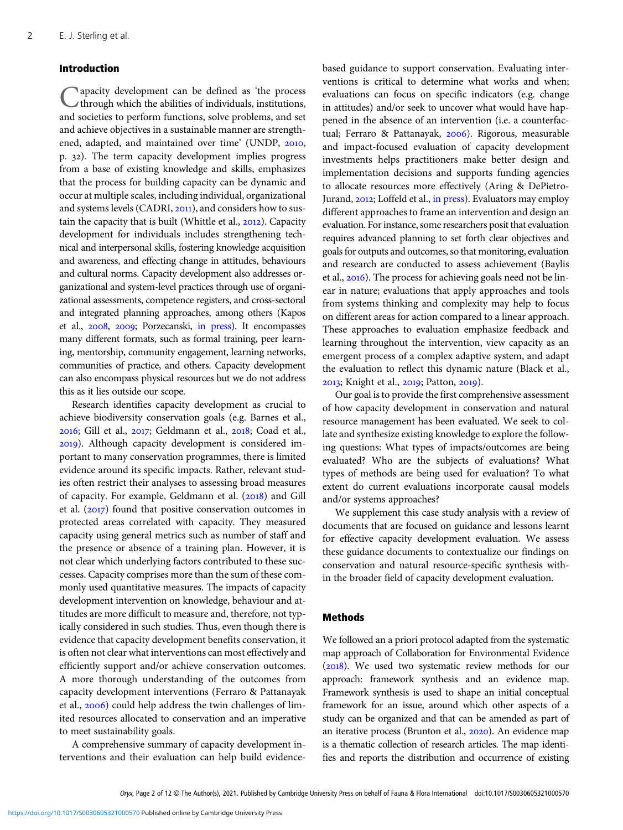## Introduction

Capacity development can be defined as 'the process through which the abilities of individuals, institutions, and societies to perform functions, solve problems, and set and achieve objectives in a sustainable manner are strengthened, adapted, and maintained over time' (UNDP, 2010, p. ). The term capacity development implies progress from a base of existing knowledge and skills, emphasizes that the process for building capacity can be dynamic and occur at multiple scales, including individual, organizational and systems levels (CADRI, 2011), and considers how to sustain the capacity that is built (Whittle et al., 2012). Capacity development for individuals includes strengthening technical and interpersonal skills, fostering knowledge acquisition and awareness, and effecting change in attitudes, behaviours and cultural norms. Capacity development also addresses organizational and system-level practices through use of organizational assessments, competence registers, and cross-sectoral and integrated planning approaches, among others (Kapos et al., 2008, 2009; Porzecanski, [in press](#page-11-0)). It encompasses many different formats, such as formal training, peer learning, mentorship, community engagement, learning networks, communities of practice, and others. Capacity development can also encompass physical resources but we do not address this as it lies outside our scope.

Research identifies capacity development as crucial to achieve biodiversity conservation goals (e.g. Barnes et al., 2016; Gill et al., 2017; Geldmann et al., 2018; Coad et al., ). Although capacity development is considered important to many conservation programmes, there is limited evidence around its specific impacts. Rather, relevant studies often restrict their analyses to assessing broad measures of capacity. For example, Geldmann et al. (2018) and Gill et al.  $(2017)$  found that positive conservation outcomes in protected areas correlated with capacity. They measured capacity using general metrics such as number of staff and the presence or absence of a training plan. However, it is not clear which underlying factors contributed to these successes. Capacity comprises more than the sum of these commonly used quantitative measures. The impacts of capacity development intervention on knowledge, behaviour and attitudes are more difficult to measure and, therefore, not typically considered in such studies. Thus, even though there is evidence that capacity development benefits conservation, it is often not clear what interventions can most effectively and efficiently support and/or achieve conservation outcomes. A more thorough understanding of the outcomes from capacity development interventions (Ferraro & Pattanayak et al., 2006) could help address the twin challenges of limited resources allocated to conservation and an imperative to meet sustainability goals.

A comprehensive summary of capacity development interventions and their evaluation can help build evidencebased guidance to support conservation. Evaluating interventions is critical to determine what works and when; evaluations can focus on specific indicators (e.g. change in attitudes) and/or seek to uncover what would have happened in the absence of an intervention (i.e. a counterfactual; Ferraro & Pattanayak, 2006). Rigorous, measurable and impact-focused evaluation of capacity development investments helps practitioners make better design and implementation decisions and supports funding agencies to allocate resources more effectively (Aring & DePietroJurand, 2012; Loffeld et al., [in press](#page-10-0)). Evaluators may employ different approaches to frame an intervention and design an evaluation. For instance, some researchers posit that evaluation requires advanced planning to set forth clear objectives and goals for outputs and outcomes, so that monitoring, evaluation and research are conducted to assess achievement (Baylis et al., 2016). The process for achieving goals need not be linear in nature; evaluations that apply approaches and tools from systems thinking and complexity may help to focus on different areas for action compared to a linear approach. These approaches to evaluation emphasize feedback and learning throughout the intervention, view capacity as an emergent process of a complex adaptive system, and adapt the evaluation to reflect this dynamic nature (Black et al., 2013; Knight et al., 2019; Patton, 2019).

Our goal is to provide the first comprehensive assessment of how capacity development in conservation and natural resource management has been evaluated. We seek to collate and synthesize existing knowledge to explore the following questions: What types of impacts/outcomes are being evaluated? Who are the subjects of evaluations? What types of methods are being used for evaluation? To what extent do current evaluations incorporate causal models and/or systems approaches?

We supplement this case study analysis with a review of documents that are focused on guidance and lessons learnt for effective capacity development evaluation. We assess these guidance documents to contextualize our findings on conservation and natural resource-specific synthesis within the broader field of capacity development evaluation.

## Methods

We followed an a priori protocol adapted from the systematic map approach of Collaboration for Environmental Evidence  $(2018)$ . We used two systematic review methods for our approach: framework synthesis and an evidence map. Framework synthesis is used to shape an initial conceptual framework for an issue, around which other aspects of a study can be organized and that can be amended as part of an iterative process (Brunton et al., 2020). An evidence map is a thematic collection of research articles. The map identifies and reports the distribution and occurrence of existing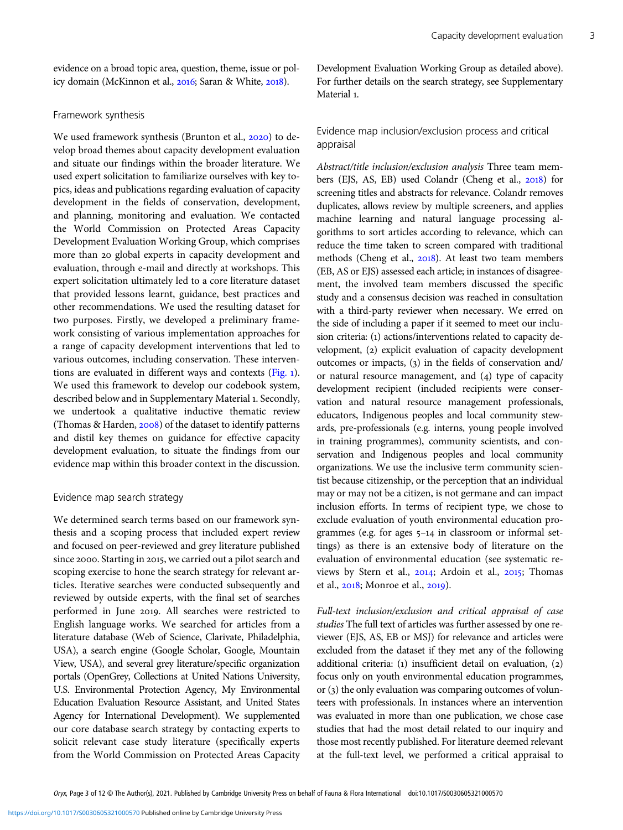evidence on a broad topic area, question, theme, issue or policy domain (McKinnon et al., 2016; Saran & White, 2018).

#### Framework synthesis

We used framework synthesis (Brunton et al., 2020) to develop broad themes about capacity development evaluation and situate our findings within the broader literature. We used expert solicitation to familiarize ourselves with key topics, ideas and publications regarding evaluation of capacity development in the fields of conservation, development, and planning, monitoring and evaluation. We contacted the World Commission on Protected Areas Capacity Development Evaluation Working Group, which comprises more than 20 global experts in capacity development and evaluation, through e-mail and directly at workshops. This expert solicitation ultimately led to a core literature dataset that provided lessons learnt, guidance, best practices and other recommendations. We used the resulting dataset for two purposes. Firstly, we developed a preliminary framework consisting of various implementation approaches for a range of capacity development interventions that led to various outcomes, including conservation. These interven-tions are evaluated in different ways and contexts ([Fig.](#page-3-0) 1). We used this framework to develop our codebook system, described below and in Supplementary Material 1. Secondly, we undertook a qualitative inductive thematic review (Thomas & Harden,  $2008$ ) of the dataset to identify patterns and distil key themes on guidance for effective capacity development evaluation, to situate the findings from our evidence map within this broader context in the discussion.

#### Evidence map search strategy

We determined search terms based on our framework synthesis and a scoping process that included expert review and focused on peer-reviewed and grey literature published since 2000. Starting in 2015, we carried out a pilot search and scoping exercise to hone the search strategy for relevant articles. Iterative searches were conducted subsequently and reviewed by outside experts, with the final set of searches performed in June 2019. All searches were restricted to English language works. We searched for articles from a literature database (Web of Science, Clarivate, Philadelphia, USA), a search engine (Google Scholar, Google, Mountain View, USA), and several grey literature/specific organization portals (OpenGrey, Collections at United Nations University, U.S. Environmental Protection Agency, My Environmental Education Evaluation Resource Assistant, and United States Agency for International Development). We supplemented our core database search strategy by contacting experts to solicit relevant case study literature (specifically experts from the World Commission on Protected Areas Capacity Development Evaluation Working Group as detailed above). For further details on the search strategy, see Supplementary Material 1.

# Evidence map inclusion/exclusion process and critical appraisal

Abstract/title inclusion/exclusion analysis Three team members (EJS, AS, EB) used Colandr (Cheng et al., 2018) for screening titles and abstracts for relevance. Colandr removes duplicates, allows review by multiple screeners, and applies machine learning and natural language processing algorithms to sort articles according to relevance, which can reduce the time taken to screen compared with traditional methods (Cheng et al., 2018). At least two team members (EB, AS or EJS) assessed each article; in instances of disagreement, the involved team members discussed the specific study and a consensus decision was reached in consultation with a third-party reviewer when necessary. We erred on the side of including a paper if it seemed to meet our inclusion criteria: (1) actions/interventions related to capacity development, (2) explicit evaluation of capacity development outcomes or impacts,  $(3)$  in the fields of conservation and/ or natural resource management, and  $(4)$  type of capacity development recipient (included recipients were conservation and natural resource management professionals, educators, Indigenous peoples and local community stewards, pre-professionals (e.g. interns, young people involved in training programmes), community scientists, and conservation and Indigenous peoples and local community organizations. We use the inclusive term community scientist because citizenship, or the perception that an individual may or may not be a citizen, is not germane and can impact inclusion efforts. In terms of recipient type, we chose to exclude evaluation of youth environmental education programmes (e.g. for ages  $5-14$  in classroom or informal settings) as there is an extensive body of literature on the evaluation of environmental education (see systematic reviews by Stern et al., 2014; Ardoin et al., 2015; Thomas et al., 2018; Monroe et al., 2019).

Full-text inclusion/exclusion and critical appraisal of case studies The full text of articles was further assessed by one reviewer (EJS, AS, EB or MSJ) for relevance and articles were excluded from the dataset if they met any of the following additional criteria:  $(i)$  insufficient detail on evaluation,  $(2)$ focus only on youth environmental education programmes, or  $(3)$  the only evaluation was comparing outcomes of volunteers with professionals. In instances where an intervention was evaluated in more than one publication, we chose case studies that had the most detail related to our inquiry and those most recently published. For literature deemed relevant at the full-text level, we performed a critical appraisal to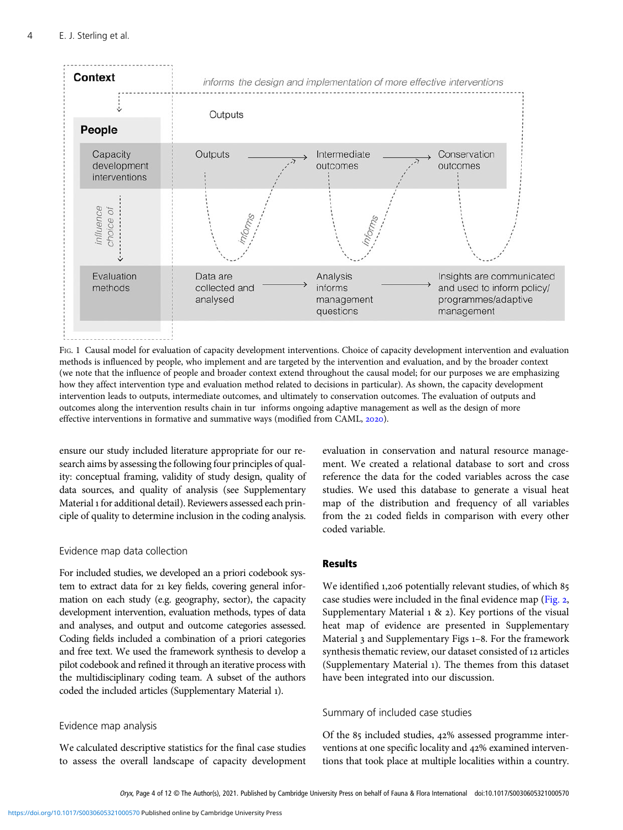<span id="page-3-0"></span>

FIG. 1 Causal model for evaluation of capacity development interventions. Choice of capacity development intervention and evaluation methods is influenced by people, who implement and are targeted by the intervention and evaluation, and by the broader context (we note that the influence of people and broader context extend throughout the causal model; for our purposes we are emphasizing how they affect intervention type and evaluation method related to decisions in particular). As shown, the capacity development intervention leads to outputs, intermediate outcomes, and ultimately to conservation outcomes. The evaluation of outputs and outcomes along the intervention results chain in tur informs ongoing adaptive management as well as the design of more effective interventions in formative and summative ways (modified from CAML, 2020).

ensure our study included literature appropriate for our research aims by assessing the following four principles of quality: conceptual framing, validity of study design, quality of data sources, and quality of analysis (see Supplementary Material 1 for additional detail). Reviewers assessed each principle of quality to determine inclusion in the coding analysis.

## Evidence map data collection

For included studies, we developed an a priori codebook system to extract data for 21 key fields, covering general information on each study (e.g. geography, sector), the capacity development intervention, evaluation methods, types of data and analyses, and output and outcome categories assessed. Coding fields included a combination of a priori categories and free text. We used the framework synthesis to develop a pilot codebook and refined it through an iterative process with the multidisciplinary coding team. A subset of the authors coded the included articles (Supplementary Material ).

## Evidence map analysis

We calculated descriptive statistics for the final case studies to assess the overall landscape of capacity development evaluation in conservation and natural resource management. We created a relational database to sort and cross reference the data for the coded variables across the case studies. We used this database to generate a visual heat map of the distribution and frequency of all variables from the 21 coded fields in comparison with every other coded variable.

# **Results**

We identified 1,206 potentially relevant studies, of which 85 case studies were included in the final evidence map ([Fig.](#page-4-0) 2, Supplementary Material  $1 \& 2$ ). Key portions of the visual heat map of evidence are presented in Supplementary Material 3 and Supplementary Figs 1-8. For the framework synthesis thematic review, our dataset consisted of 12 articles (Supplementary Material ). The themes from this dataset have been integrated into our discussion.

# Summary of included case studies

Of the 85 included studies, 42% assessed programme interventions at one specific locality and 42% examined interventions that took place at multiple localities within a country.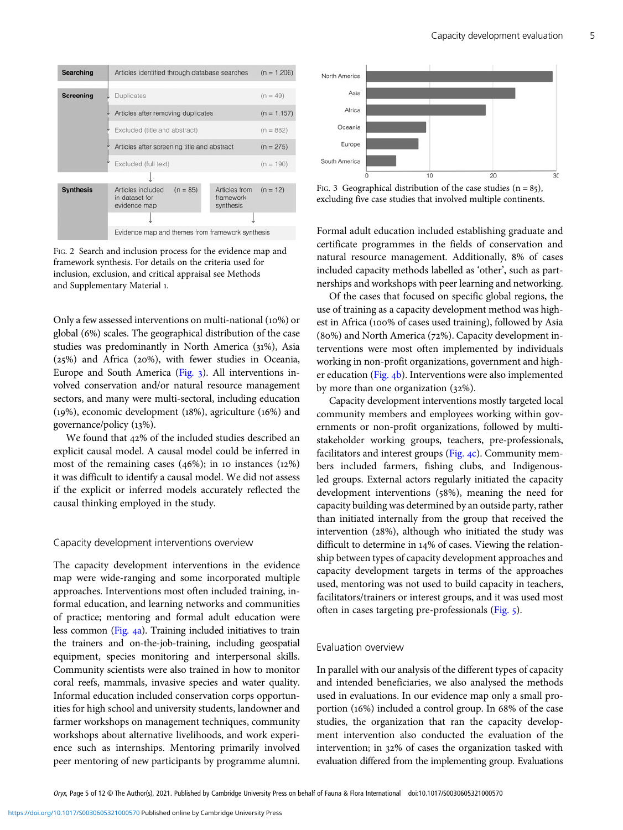<span id="page-4-0"></span>

FIG. 2 Search and inclusion process for the evidence map and framework synthesis. For details on the criteria used for inclusion, exclusion, and critical appraisal see Methods and Supplementary Material 1.

Only a few assessed interventions on multi-national  $(10\%)$  or global (%) scales. The geographical distribution of the case studies was predominantly in North America (31%), Asia  $(25%)$  and Africa  $(20%)$ , with fewer studies in Oceania, Europe and South America  $(Fig, 3)$ . All interventions involved conservation and/or natural resource management sectors, and many were multi-sectoral, including education ( $19\%$ ), economic development ( $18\%$ ), agriculture ( $16\%$ ) and governance/policy (13%).

We found that 42% of the included studies described an explicit causal model. A causal model could be inferred in most of the remaining cases  $(46%)$ ; in 10 instances  $(12%)$ it was difficult to identify a causal model. We did not assess if the explicit or inferred models accurately reflected the causal thinking employed in the study.

#### Capacity development interventions overview

The capacity development interventions in the evidence map were wide-ranging and some incorporated multiple approaches. Interventions most often included training, informal education, and learning networks and communities of practice; mentoring and formal adult education were less common [\(Fig.](#page-5-0) a). Training included initiatives to train the trainers and on-the-job-training, including geospatial equipment, species monitoring and interpersonal skills. Community scientists were also trained in how to monitor coral reefs, mammals, invasive species and water quality. Informal education included conservation corps opportunities for high school and university students, landowner and farmer workshops on management techniques, community workshops about alternative livelihoods, and work experience such as internships. Mentoring primarily involved peer mentoring of new participants by programme alumni.



FIG. 3 Geographical distribution of the case studies  $(n = 85)$ , excluding five case studies that involved multiple continents.

Formal adult education included establishing graduate and certificate programmes in the fields of conservation and natural resource management. Additionally, % of cases included capacity methods labelled as 'other', such as partnerships and workshops with peer learning and networking.

Of the cases that focused on specific global regions, the use of training as a capacity development method was highest in Africa (100% of cases used training), followed by Asia (80%) and North America (72%). Capacity development interventions were most often implemented by individuals working in non-profit organizations, government and high-er education [\(Fig.](#page-5-0) 4b). Interventions were also implemented by more than one organization  $(32\%).$ 

Capacity development interventions mostly targeted local community members and employees working within governments or non-profit organizations, followed by multistakeholder working groups, teachers, pre-professionals, facilitators and interest groups ([Fig.](#page-5-0)  $4c$ ). Community members included farmers, fishing clubs, and Indigenousled groups. External actors regularly initiated the capacity development interventions (58%), meaning the need for capacity building was determined by an outside party, rather than initiated internally from the group that received the intervention  $(28%)$ , although who initiated the study was difficult to determine in  $14\%$  of cases. Viewing the relationship between types of capacity development approaches and capacity development targets in terms of the approaches used, mentoring was not used to build capacity in teachers, facilitators/trainers or interest groups, and it was used most often in cases targeting pre-professionals [\(Fig.](#page-6-0) ).

# Evaluation overview

In parallel with our analysis of the different types of capacity and intended beneficiaries, we also analysed the methods used in evaluations. In our evidence map only a small proportion (16%) included a control group. In 68% of the case studies, the organization that ran the capacity development intervention also conducted the evaluation of the intervention; in 32% of cases the organization tasked with evaluation differed from the implementing group. Evaluations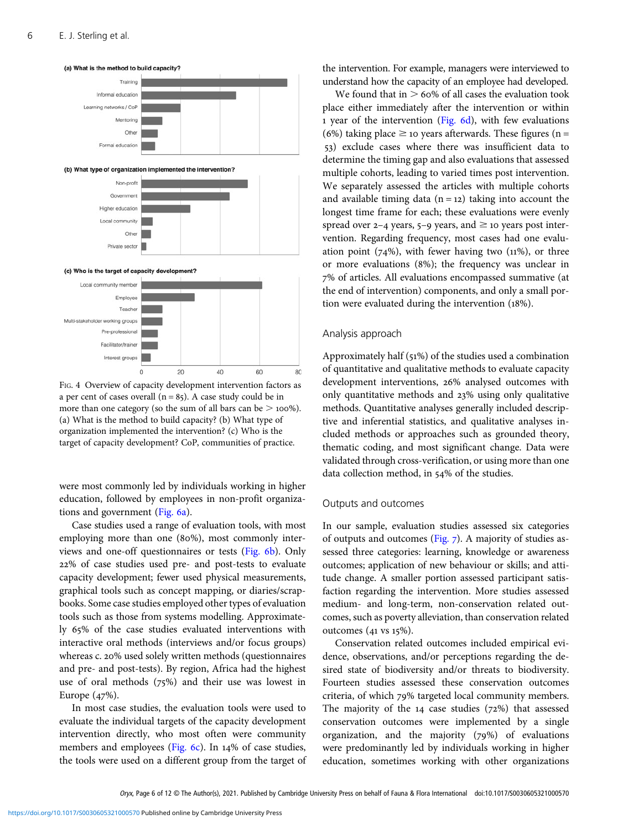<span id="page-5-0"></span>

FIG. 4 Overview of capacity development intervention factors as a per cent of cases overall ( $n = 85$ ). A case study could be in more than one category (so the sum of all bars can be  $>$  100%). (a) What is the method to build capacity? (b) What type of organization implemented the intervention? (c) Who is the target of capacity development? CoP, communities of practice.

were most commonly led by individuals working in higher education, followed by employees in non-profit organiza-tions and government [\(Fig.](#page-6-0) 6a).

Case studies used a range of evaluation tools, with most employing more than one (80%), most commonly inter-views and one-off questionnaires or tests [\(Fig.](#page-6-0) 6b). Only % of case studies used pre- and post-tests to evaluate capacity development; fewer used physical measurements, graphical tools such as concept mapping, or diaries/scrapbooks. Some case studies employed other types of evaluation tools such as those from systems modelling. Approximately 65% of the case studies evaluated interventions with interactive oral methods (interviews and/or focus groups) whereas c. 20% used solely written methods (questionnaires and pre- and post-tests). By region, Africa had the highest use of oral methods  $(75%)$  and their use was lowest in Europe  $(47%)$ .

In most case studies, the evaluation tools were used to evaluate the individual targets of the capacity development intervention directly, who most often were community members and employees ([Fig.](#page-6-0)  $6c$ ). In 14% of case studies, the tools were used on a different group from the target of the intervention. For example, managers were interviewed to understand how the capacity of an employee had developed.

We found that in  $> 60\%$  of all cases the evaluation took place either immediately after the intervention or within 1 year of the intervention ([Fig.](#page-6-0)  $6d$ ), with few evaluations (6%) taking place  $\geq$  10 years afterwards. These figures (n = ) exclude cases where there was insufficient data to determine the timing gap and also evaluations that assessed multiple cohorts, leading to varied times post intervention. We separately assessed the articles with multiple cohorts and available timing data  $(n = 12)$  taking into account the longest time frame for each; these evaluations were evenly spread over 2-4 years,  $5-9$  years, and  $\geq$  10 years post intervention. Regarding frequency, most cases had one evaluation point  $(74%)$ , with fewer having two  $(11%)$ , or three or more evaluations (8%); the frequency was unclear in % of articles. All evaluations encompassed summative (at the end of intervention) components, and only a small portion were evaluated during the intervention  $(18\%)$ .

#### Analysis approach

Approximately half  $(51%)$  of the studies used a combination of quantitative and qualitative methods to evaluate capacity development interventions, 26% analysed outcomes with only quantitative methods and  $23\%$  using only qualitative methods. Quantitative analyses generally included descriptive and inferential statistics, and qualitative analyses included methods or approaches such as grounded theory, thematic coding, and most significant change. Data were validated through cross-verification, or using more than one data collection method, in 54% of the studies.

## Outputs and outcomes

In our sample, evaluation studies assessed six categories of outputs and outcomes  $(Fig, 7)$ . A majority of studies assessed three categories: learning, knowledge or awareness outcomes; application of new behaviour or skills; and attitude change. A smaller portion assessed participant satisfaction regarding the intervention. More studies assessed medium- and long-term, non-conservation related outcomes, such as poverty alleviation, than conservation related outcomes  $(41 \text{ vs } 15\%).$ 

Conservation related outcomes included empirical evidence, observations, and/or perceptions regarding the desired state of biodiversity and/or threats to biodiversity. Fourteen studies assessed these conservation outcomes criteria, of which 79% targeted local community members. The majority of the  $14$  case studies ( $72\%$ ) that assessed conservation outcomes were implemented by a single organization, and the majority  $(79%)$  of evaluations were predominantly led by individuals working in higher education, sometimes working with other organizations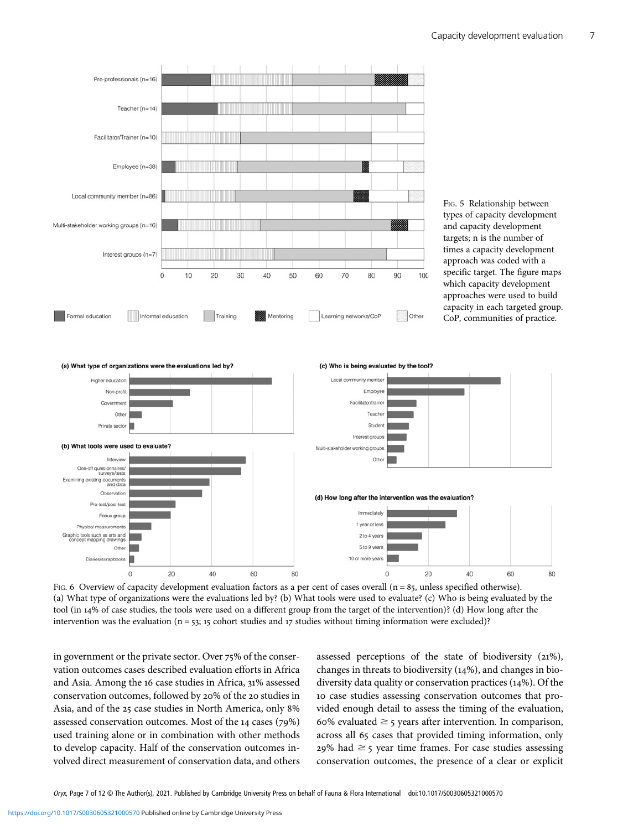<span id="page-6-0"></span>

FIG. 6 Overview of capacity development evaluation factors as a per cent of cases overall ( $n = 85$ , unless specified otherwise). (a) What type of organizations were the evaluations led by? (b) What tools were used to evaluate? (c) Who is being evaluated by the tool (in 14% of case studies, the tools were used on a different group from the target of the intervention)? (d) How long after the intervention was the evaluation ( $n = 53$ ; 15 cohort studies and 17 studies without timing information were excluded)?

in government or the private sector. Over 75% of the conservation outcomes cases described evaluation efforts in Africa and Asia. Among the 16 case studies in Africa, 31% assessed conservation outcomes, followed by 20% of the 20 studies in Asia, and of the 25 case studies in North America, only 8% assessed conservation outcomes. Most of the  $14$  cases ( $79\%$ ) used training alone or in combination with other methods to develop capacity. Half of the conservation outcomes involved direct measurement of conservation data, and others

assessed perceptions of the state of biodiversity  $(21\%)$ , changes in threats to biodiversity  $(14%)$ , and changes in biodiversity data quality or conservation practices  $(14\%)$ . Of the 10 case studies assessing conservation outcomes that provided enough detail to assess the timing of the evaluation, 60% evaluated  $\geq$  5 years after intervention. In comparison, across all 65 cases that provided timing information, only  $29\%$  had  $\geq$  5 year time frames. For case studies assessing conservation outcomes, the presence of a clear or explicit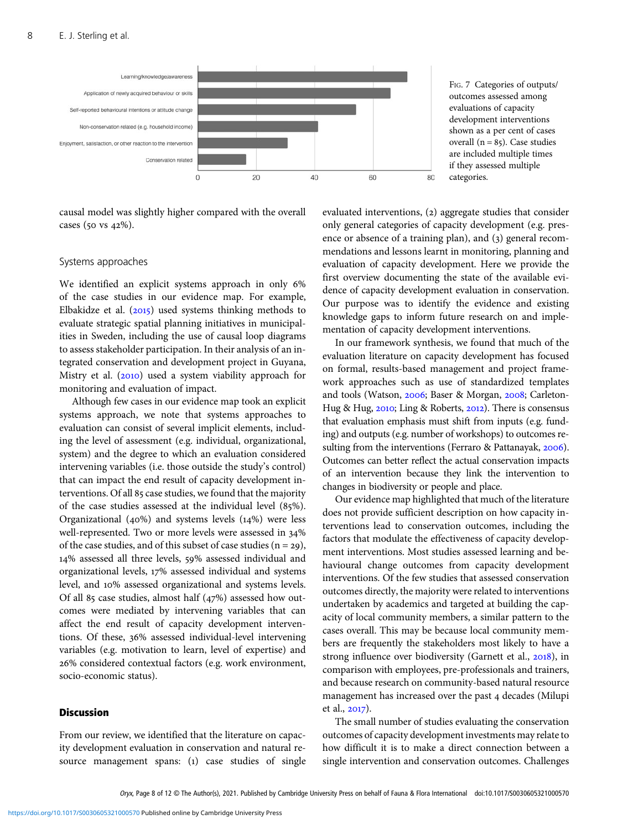<span id="page-7-0"></span>

causal model was slightly higher compared with the overall cases (50 vs  $42\%$ ).

#### Systems approaches

We identified an explicit systems approach in only 6% of the case studies in our evidence map. For example, Elbakidze et al.  $(2015)$  used systems thinking methods to evaluate strategic spatial planning initiatives in municipalities in Sweden, including the use of causal loop diagrams to assess stakeholder participation. In their analysis of an integrated conservation and development project in Guyana, Mistry et al.  $(2010)$  used a system viability approach for monitoring and evaluation of impact.

Although few cases in our evidence map took an explicit systems approach, we note that systems approaches to evaluation can consist of several implicit elements, including the level of assessment (e.g. individual, organizational, system) and the degree to which an evaluation considered intervening variables (i.e. those outside the study's control) that can impact the end result of capacity development interventions. Of all 85 case studies, we found that the majority of the case studies assessed at the individual level  $(85\%)$ . Organizational (40%) and systems levels  $(14%)$  were less well-represented. Two or more levels were assessed in 34% of the case studies, and of this subset of case studies  $(n = 29)$ , 14% assessed all three levels, 59% assessed individual and organizational levels, 17% assessed individual and systems level, and 10% assessed organizational and systems levels. Of all 85 case studies, almost half  $(47%)$  assessed how outcomes were mediated by intervening variables that can affect the end result of capacity development interventions. Of these, 36% assessed individual-level intervening variables (e.g. motivation to learn, level of expertise) and % considered contextual factors (e.g. work environment, socio-economic status).

## **Discussion**

From our review, we identified that the literature on capacity development evaluation in conservation and natural resource management spans: (1) case studies of single FIG. 7 Categories of outputs/ outcomes assessed among evaluations of capacity development interventions shown as a per cent of cases overall ( $n = 85$ ). Case studies are included multiple times if they assessed multiple categories.

evaluated interventions, (2) aggregate studies that consider only general categories of capacity development (e.g. presence or absence of a training plan), and (3) general recommendations and lessons learnt in monitoring, planning and evaluation of capacity development. Here we provide the first overview documenting the state of the available evidence of capacity development evaluation in conservation. Our purpose was to identify the evidence and existing knowledge gaps to inform future research on and implementation of capacity development interventions.

In our framework synthesis, we found that much of the evaluation literature on capacity development has focused on formal, results-based management and project framework approaches such as use of standardized templates and tools (Watson, 2006; Baser & Morgan, 2008; Carleton-Hug & Hug, 2010; Ling & Roberts, 2012). There is consensus that evaluation emphasis must shift from inputs (e.g. funding) and outputs (e.g. number of workshops) to outcomes resulting from the interventions (Ferraro & Pattanayak, 2006). Outcomes can better reflect the actual conservation impacts of an intervention because they link the intervention to changes in biodiversity or people and place.

Our evidence map highlighted that much of the literature does not provide sufficient description on how capacity interventions lead to conservation outcomes, including the factors that modulate the effectiveness of capacity development interventions. Most studies assessed learning and behavioural change outcomes from capacity development interventions. Of the few studies that assessed conservation outcomes directly, the majority were related to interventions undertaken by academics and targeted at building the capacity of local community members, a similar pattern to the cases overall. This may be because local community members are frequently the stakeholders most likely to have a strong influence over biodiversity (Garnett et al., 2018), in comparison with employees, pre-professionals and trainers, and because research on community-based natural resource management has increased over the past 4 decades (Milupi et al.,  $2017$ ).

The small number of studies evaluating the conservation outcomes of capacity development investments may relate to how difficult it is to make a direct connection between a single intervention and conservation outcomes. Challenges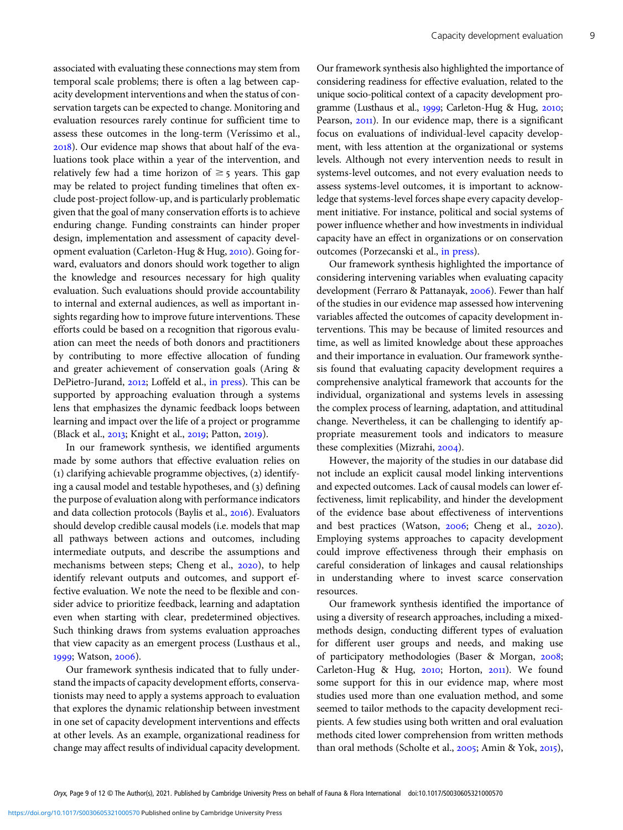associated with evaluating these connections may stem from temporal scale problems; there is often a lag between capacity development interventions and when the status of conservation targets can be expected to change. Monitoring and evaluation resources rarely continue for sufficient time to assess these outcomes in the long-term (Veríssimo et al., ). Our evidence map shows that about half of the evaluations took place within a year of the intervention, and relatively few had a time horizon of  $\geq$  5 years. This gap may be related to project funding timelines that often exclude post-project follow-up, and is particularly problematic given that the goal of many conservation efforts is to achieve enduring change. Funding constraints can hinder proper design, implementation and assessment of capacity development evaluation (Carleton-Hug & Hug, 2010). Going forward, evaluators and donors should work together to align the knowledge and resources necessary for high quality evaluation. Such evaluations should provide accountability to internal and external audiences, as well as important insights regarding how to improve future interventions. These efforts could be based on a recognition that rigorous evaluation can meet the needs of both donors and practitioners by contributing to more effective allocation of funding and greater achievement of conservation goals (Aring & DePietro-Jurand, 2012; Loffeld et al., [in press](#page-10-0)). This can be supported by approaching evaluation through a systems lens that emphasizes the dynamic feedback loops between learning and impact over the life of a project or programme (Black et al., 2013; Knight et al., 2019; Patton, 2019).

In our framework synthesis, we identified arguments made by some authors that effective evaluation relies on  $(1)$  clarifying achievable programme objectives,  $(2)$  identifying a causal model and testable hypotheses, and (3) defining the purpose of evaluation along with performance indicators and data collection protocols (Baylis et al., 2016). Evaluators should develop credible causal models (i.e. models that map all pathways between actions and outcomes, including intermediate outputs, and describe the assumptions and mechanisms between steps; Cheng et al., 2020), to help identify relevant outputs and outcomes, and support effective evaluation. We note the need to be flexible and consider advice to prioritize feedback, learning and adaptation even when starting with clear, predetermined objectives. Such thinking draws from systems evaluation approaches that view capacity as an emergent process (Lusthaus et al., 1999; Watson, 2006).

Our framework synthesis indicated that to fully understand the impacts of capacity development efforts, conservationists may need to apply a systems approach to evaluation that explores the dynamic relationship between investment in one set of capacity development interventions and effects at other levels. As an example, organizational readiness for change may affect results of individual capacity development.

Our framework synthesis also highlighted the importance of considering readiness for effective evaluation, related to the unique socio-political context of a capacity development programme (Lusthaus et al., 1999; Carleton-Hug & Hug, 2010; Pearson, 2011). In our evidence map, there is a significant focus on evaluations of individual-level capacity development, with less attention at the organizational or systems levels. Although not every intervention needs to result in systems-level outcomes, and not every evaluation needs to assess systems-level outcomes, it is important to acknowledge that systems-level forces shape every capacity development initiative. For instance, political and social systems of power influence whether and how investments in individual capacity have an effect in organizations or on conservation outcomes (Porzecanski et al., [in press\)](#page-11-0).

Our framework synthesis highlighted the importance of considering intervening variables when evaluating capacity development (Ferraro & Pattanayak, 2006). Fewer than half of the studies in our evidence map assessed how intervening variables affected the outcomes of capacity development interventions. This may be because of limited resources and time, as well as limited knowledge about these approaches and their importance in evaluation. Our framework synthesis found that evaluating capacity development requires a comprehensive analytical framework that accounts for the individual, organizational and systems levels in assessing the complex process of learning, adaptation, and attitudinal change. Nevertheless, it can be challenging to identify appropriate measurement tools and indicators to measure these complexities (Mizrahi, 2004).

However, the majority of the studies in our database did not include an explicit causal model linking interventions and expected outcomes. Lack of causal models can lower effectiveness, limit replicability, and hinder the development of the evidence base about effectiveness of interventions and best practices (Watson,  $2006$ ; Cheng et al.,  $2020$ ). Employing systems approaches to capacity development could improve effectiveness through their emphasis on careful consideration of linkages and causal relationships in understanding where to invest scarce conservation resources.

Our framework synthesis identified the importance of using a diversity of research approaches, including a mixedmethods design, conducting different types of evaluation for different user groups and needs, and making use of participatory methodologies (Baser & Morgan, 2008; Carleton-Hug & Hug, 2010; Horton, 2011). We found some support for this in our evidence map, where most studies used more than one evaluation method, and some seemed to tailor methods to the capacity development recipients. A few studies using both written and oral evaluation methods cited lower comprehension from written methods than oral methods (Scholte et al., 2005; Amin & Yok, 2015),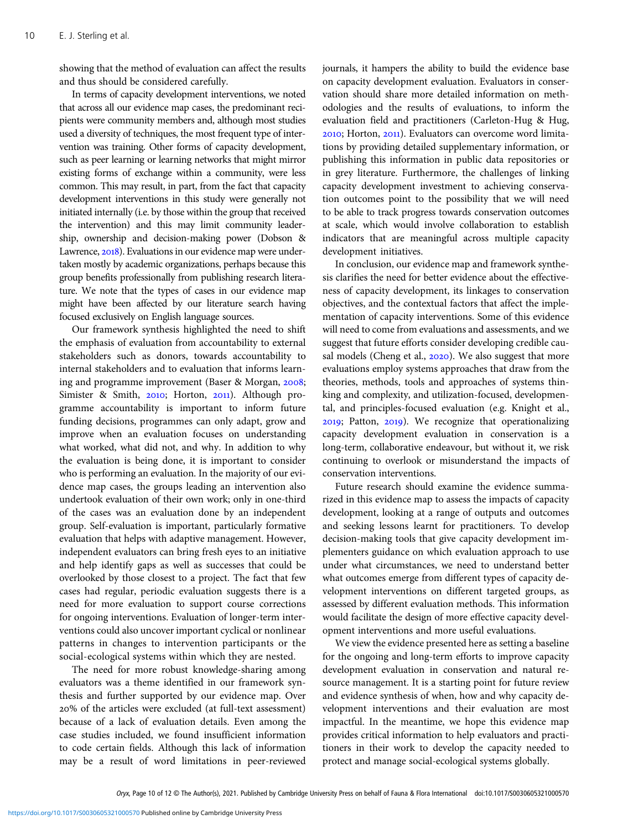showing that the method of evaluation can affect the results and thus should be considered carefully.

In terms of capacity development interventions, we noted that across all our evidence map cases, the predominant recipients were community members and, although most studies used a diversity of techniques, the most frequent type of intervention was training. Other forms of capacity development, such as peer learning or learning networks that might mirror existing forms of exchange within a community, were less common. This may result, in part, from the fact that capacity development interventions in this study were generally not initiated internally (i.e. by those within the group that received the intervention) and this may limit community leadership, ownership and decision-making power (Dobson & Lawrence, 2018). Evaluations in our evidence map were undertaken mostly by academic organizations, perhaps because this group benefits professionally from publishing research literature. We note that the types of cases in our evidence map might have been affected by our literature search having focused exclusively on English language sources.

Our framework synthesis highlighted the need to shift the emphasis of evaluation from accountability to external stakeholders such as donors, towards accountability to internal stakeholders and to evaluation that informs learning and programme improvement (Baser & Morgan, 2008; Simister & Smith, 2010; Horton, 2011). Although programme accountability is important to inform future funding decisions, programmes can only adapt, grow and improve when an evaluation focuses on understanding what worked, what did not, and why. In addition to why the evaluation is being done, it is important to consider who is performing an evaluation. In the majority of our evidence map cases, the groups leading an intervention also undertook evaluation of their own work; only in one-third of the cases was an evaluation done by an independent group. Self-evaluation is important, particularly formative evaluation that helps with adaptive management. However, independent evaluators can bring fresh eyes to an initiative and help identify gaps as well as successes that could be overlooked by those closest to a project. The fact that few cases had regular, periodic evaluation suggests there is a need for more evaluation to support course corrections for ongoing interventions. Evaluation of longer-term interventions could also uncover important cyclical or nonlinear patterns in changes to intervention participants or the social-ecological systems within which they are nested.

The need for more robust knowledge-sharing among evaluators was a theme identified in our framework synthesis and further supported by our evidence map. Over % of the articles were excluded (at full-text assessment) because of a lack of evaluation details. Even among the case studies included, we found insufficient information to code certain fields. Although this lack of information may be a result of word limitations in peer-reviewed

journals, it hampers the ability to build the evidence base on capacity development evaluation. Evaluators in conservation should share more detailed information on methodologies and the results of evaluations, to inform the evaluation field and practitioners (Carleton-Hug & Hug, 2010; Horton, 2011). Evaluators can overcome word limitations by providing detailed supplementary information, or publishing this information in public data repositories or in grey literature. Furthermore, the challenges of linking capacity development investment to achieving conservation outcomes point to the possibility that we will need to be able to track progress towards conservation outcomes at scale, which would involve collaboration to establish indicators that are meaningful across multiple capacity development initiatives.

In conclusion, our evidence map and framework synthesis clarifies the need for better evidence about the effectiveness of capacity development, its linkages to conservation objectives, and the contextual factors that affect the implementation of capacity interventions. Some of this evidence will need to come from evaluations and assessments, and we suggest that future efforts consider developing credible causal models (Cheng et al., 2020). We also suggest that more evaluations employ systems approaches that draw from the theories, methods, tools and approaches of systems thinking and complexity, and utilization-focused, developmental, and principles-focused evaluation (e.g. Knight et al., 2019; Patton, 2019). We recognize that operationalizing capacity development evaluation in conservation is a long-term, collaborative endeavour, but without it, we risk continuing to overlook or misunderstand the impacts of conservation interventions.

Future research should examine the evidence summarized in this evidence map to assess the impacts of capacity development, looking at a range of outputs and outcomes and seeking lessons learnt for practitioners. To develop decision-making tools that give capacity development implementers guidance on which evaluation approach to use under what circumstances, we need to understand better what outcomes emerge from different types of capacity development interventions on different targeted groups, as assessed by different evaluation methods. This information would facilitate the design of more effective capacity development interventions and more useful evaluations.

We view the evidence presented here as setting a baseline for the ongoing and long-term efforts to improve capacity development evaluation in conservation and natural resource management. It is a starting point for future review and evidence synthesis of when, how and why capacity development interventions and their evaluation are most impactful. In the meantime, we hope this evidence map provides critical information to help evaluators and practitioners in their work to develop the capacity needed to protect and manage social-ecological systems globally.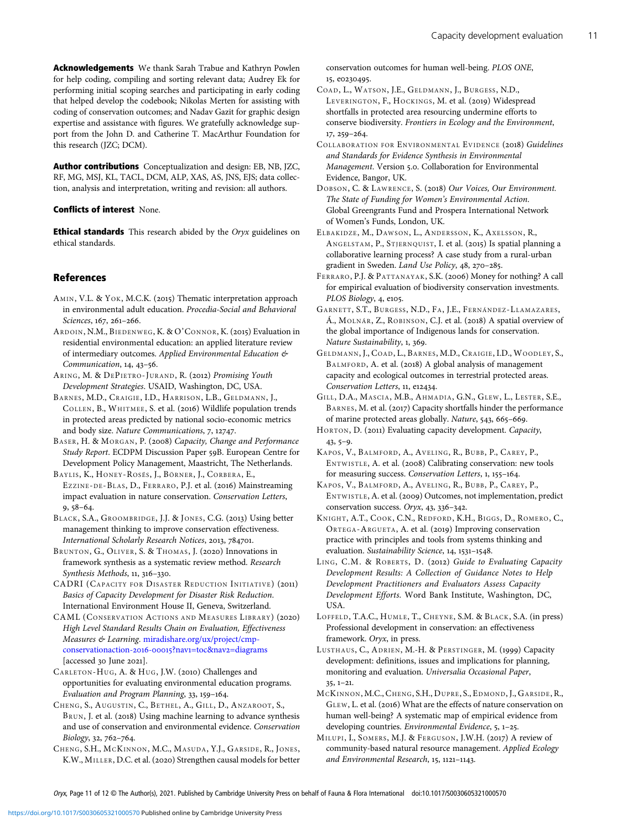<span id="page-10-0"></span>Acknowledgements We thank Sarah Trabue and Kathryn Powlen for help coding, compiling and sorting relevant data; Audrey Ek for performing initial scoping searches and participating in early coding that helped develop the codebook; Nikolas Merten for assisting with coding of conservation outcomes; and Nadav Gazit for graphic design expertise and assistance with figures. We gratefully acknowledge support from the John D. and Catherine T. MacArthur Foundation for this research (JZC; DCM).

Author contributions Conceptualization and design: EB, NB, JZC, RF, MG, MSJ, KL, TACL, DCM, ALP, XAS, AS, JNS, EJS; data collection, analysis and interpretation, writing and revision: all authors.

#### Conflicts of interest None.

**Ethical standards** This research abided by the Oryx guidelines on ethical standards.

## **References**

- AMIN, V.L. & YOK, M.C.K. (2015) Thematic interpretation approach in environmental adult education. Procedia-Social and Behavioral Sciences, 167, 261-266.
- ARDOIN, N.M., BIEDENWEG, K. & O'CONNOR, K. (2015) Evaluation in residential environmental education: an applied literature review of intermediary outcomes. Applied Environmental Education & Communication, 14, 43-56.
- ARING, M. & DEPIETRO-JURAND, R. (2012) Promising Youth Development Strategies. USAID, Washington, DC, USA.
- BARNES, M.D., CRAIGIE, I.D., HARRISON, L.B., GELDMANN, J., COLLEN, B., WHITMEE, S. et al. (2016) Wildlife population trends in protected areas predicted by national socio-economic metrics and body size. Nature Communications, 7, 12747.
- BASER, H. & MORGAN, P. (2008) Capacity, Change and Performance Study Report. ECDPM Discussion Paper 59B. European Centre for Development Policy Management, Maastricht, The Netherlands.
- BAYLIS, K., HONEY-ROSÉS, J., BÖRNER, J., CORBERA, E., EZZINE-DE-BLAS, D., FERRARO, P.J. et al. (2016) Mainstreaming impact evaluation in nature conservation. Conservation Letters,  $9,58-64.$
- BLACK, S.A., GROOMBRIDGE, J.J. & JONES, C.G. (2013) Using better management thinking to improve conservation effectiveness. International Scholarly Research Notices, 2013, 784701.
- BRUNTON, G., OLIVER, S. & THOMAS, J. (2020) Innovations in framework synthesis as a systematic review method. Research Synthesis Methods,  $11, 316-330$ .
- CADRI (CAPACITY FOR DISASTER REDUCTION INITIATIVE) (2011) Basics of Capacity Development for Disaster Risk Reduction. International Environment House II, Geneva, Switzerland.
- CAML (CONSERVATION ACTIONS AND MEASURES LIBRARY) (2020) High Level Standard Results Chain on Evaluation, Effectiveness Measures & Learning. [miradishare.org/ux/project/cmp](Https://www.miradishare.org/ux/project/cmp-conservationaction-2016-00015?nav1=toc&nav2=diagrams)[conservationaction-](Https://www.miradishare.org/ux/project/cmp-conservationaction-2016-00015?nav1=toc&nav2=diagrams)2016-00015?nav1=toc&nav2=diagrams  $[accessed_3o]$ une  $2021]$ .
- CARLETON-HUG, A. & HUG, J.W. (2010) Challenges and opportunities for evaluating environmental education programs. Evaluation and Program Planning, 33, 159-164.
- CHENG, S., AUGUSTIN, C., BETHEL, A., GILL, D., ANZAROOT, S., BRUN, J. et al. (2018) Using machine learning to advance synthesis and use of conservation and environmental evidence. Conservation  $Biology, 32, 762 - 764.$
- CHENG, S.H., MCKINNON, M.C., MASUDA, Y.J., GARSIDE, R., JONES, K.W., MILLER, D.C. et al. (2020) Strengthen causal models for better

conservation outcomes for human well-being. PLOS ONE, 15, e0230495.

- COAD, L., WATSON, J.E., GELDMANN, J., BURGESS, N.D., LEVERINGTON, F., HOCKINGS, M. et al. (2019) Widespread shortfalls in protected area resourcing undermine efforts to conserve biodiversity. Frontiers in Ecology and the Environment,  $17.259 - 264.$
- COLLABORATION FOR ENVIRONMENTAL EVIDENCE (2018) Guidelines and Standards for Evidence Synthesis in Environmental Management. Version 5.0. Collaboration for Environmental Evidence, Bangor, UK.
- DOBSON, C. & LAWRENCE, S. (2018) Our Voices, Our Environment. The State of Funding for Women's Environmental Action. Global Greengrants Fund and Prospera International Network of Women's Funds, London, UK.
- ELBAKIDZE, M., DAWSON, L., ANDERSSON, K., AXELSSON, R., ANGELSTAM, P., STJERNQUIST, I. et al. (2015) Is spatial planning a collaborative learning process? A case study from a rural-urban gradient in Sweden. Land Use Policy, 48, 270-285.
- FERRARO, P.J. & PATTANAYAK, S.K. (2006) Money for nothing? A call for empirical evaluation of biodiversity conservation investments. PLOS Biology, 4, e105.
- GARNETT, S.T., BURGESS , N.D., FA, J.E., FERNÁNDEZ-LLAMAZARES, Á., MOLNÁR, Z., ROBINSON, C.J. et al. (2018) A spatial overview of the global importance of Indigenous lands for conservation. Nature Sustainability, 1, 369.
- GELDMANN, J., COAD, L., BARNES , M.D., CRAIGIE, I.D., WOODLEY, S., BALMFORD, A. et al. (2018) A global analysis of management capacity and ecological outcomes in terrestrial protected areas. Conservation Letters, 11, e12434.
- GILL, D.A., MASCIA, M.B., AHMADIA, G.N., GLEW, L., LESTER, S.E., BARNES, M. et al. (2017) Capacity shortfalls hinder the performance of marine protected areas globally. Nature, 543, 665-669.
- HORTON, D. (2011) Evaluating capacity development. Capacity,  $43, 5 - 9.$
- KAPOS, V., BALMFORD, A., AVELING, R., BUBB, P., CAREY, P., ENTWISTLE, A. et al. (2008) Calibrating conservation: new tools for measuring success. Conservation Letters, 1, 155-164.
- KAPOS, V., BALMFORD, A., AVELING, R., BUBB, P., CAREY, P., ENTWISTLE, A. et al. (2009) Outcomes, not implementation, predict conservation success. Oryx,  $43, 336-342$ .
- KNIGHT, A.T., COOK, C.N., REDFORD, K.H., BIGGS, D., ROMERO, C., ORTEGA-ARGUETA, A. et al. (2019) Improving conservation practice with principles and tools from systems thinking and evaluation. Sustainability Science,  $14$ ,  $1531-1548$ .
- LING, C.M. & ROBERTS, D. (2012) Guide to Evaluating Capacity Development Results: A Collection of Guidance Notes to Help Development Practitioners and Evaluators Assess Capacity Development Efforts. Word Bank Institute, Washington, DC, USA.
- LOFFELD, T.A.C., HUMLE, T., CHEYNE, S.M. & BLACK, S.A. (in press) Professional development in conservation: an effectiveness framework. Oryx, in press.
- LUSTHAUS, C., ADRIEN, M.-H. & PERSTINGER, M. (1999) Capacity development: definitions, issues and implications for planning, monitoring and evaluation. Universalia Occasional Paper,  $35, 1-21.$
- MCKINNON, M.C., CHENG, S.H., DUPRE, S., EDMOND, J., GARSIDE, R., GLEW, L. et al. (2016) What are the effects of nature conservation on human well-being? A systematic map of empirical evidence from developing countries. Environmental Evidence, 5, 1-25.
- MILUPI, I., SOMERS, M.J. & FERGUSON, J.W.H. (2017) A review of community-based natural resource management. Applied Ecology and Environmental Research,  $15$ ,  $1121-1143$ .